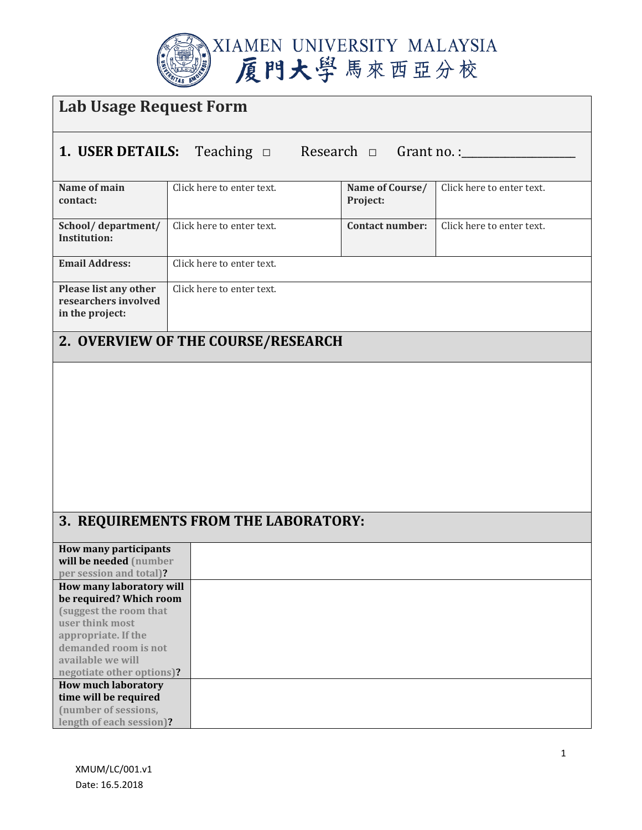

| Lab Usage Request Form                                            |                           |                             |                           |  |
|-------------------------------------------------------------------|---------------------------|-----------------------------|---------------------------|--|
| 1. USER DETAILS:<br>Research $\Box$ Grant no.:<br>Teaching $\Box$ |                           |                             |                           |  |
| Name of main<br>contact:                                          | Click here to enter text. | Name of Course/<br>Project: | Click here to enter text. |  |
| School/department/<br>Institution:                                | Click here to enter text. | <b>Contact number:</b>      | Click here to enter text. |  |
| <b>Email Address:</b>                                             | Click here to enter text. |                             |                           |  |
| Please list any other<br>researchers involved<br>in the project:  | Click here to enter text. |                             |                           |  |
| 2. OVERVIEW OF THE COURSE/RESEARCH                                |                           |                             |                           |  |

## **3. REQUIREMENTS FROM THE LABORATORY:**

| How many participants      |
|----------------------------|
| will be needed (number     |
| per session and total)?    |
| How many laboratory will   |
| be required? Which room    |
| (suggest the room that     |
| user think most            |
| appropriate. If the        |
| demanded room is not       |
| available we will          |
| negotiate other options)?  |
| <b>How much laboratory</b> |
| time will be required      |
| (number of sessions,       |
| length of each session)?   |